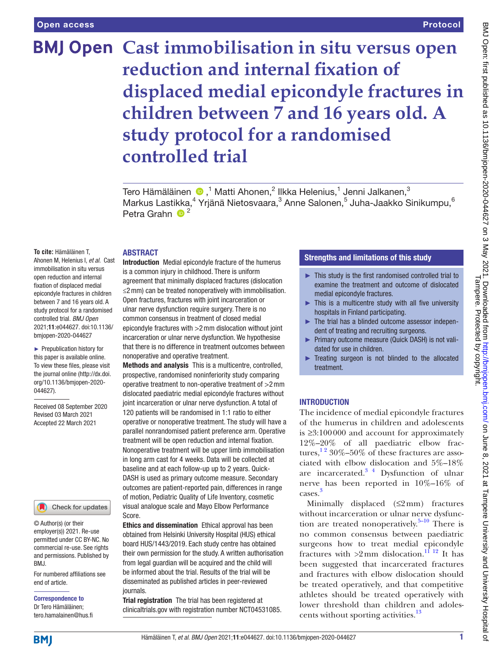### Protocol

# **BMJ Open Cast immobilisation in situ versus open reduction and internal fixation of displaced medial epicondyle fractures in children between 7 and 16 years old. A study protocol for a randomised controlled trial**

Tero Hämäläinen  $\bm{\odot}$  ,<sup>1</sup> Matti Ahonen,<sup>2</sup> Ilkka Helenius,<sup>1</sup> Jenni Jalkanen,<sup>3</sup> Markus Lastikka,<sup>4</sup> Yrjänä Nietosvaara,<sup>3</sup> Anne Salonen,<sup>5</sup> Juha-Jaakko Sinikumpu,<sup>6</sup> Petra Grahn  $\bullet$ <sup>2</sup>

**To cite:** Hämäläinen T, Ahonen M, Helenius I, *et al*. Cast immobilisation in situ versus open reduction and internal fixation of displaced medial epicondyle fractures in children between 7 and 16 years old. A study protocol for a randomised controlled trial. *BMJ Open* 2021;11:e044627. doi:10.1136/

ABSTRACT

► Prepublication history for this paper is available online. To view these files, please visit the journal online (http://dx.doi. org/10.1136/bmjopen-2020- 044627).

bmjopen-2020-044627

Received 08 September 2020 Revised 03 March 2021 Accepted 22 March 2021



© Author(s) (or their employer(s)) 2021. Re-use permitted under CC BY-NC. No commercial re-use. See rights and permissions. Published by BMJ.

For numbered affiliations see end of article.

Correspondence to Dr Tero Hämäläinen; tero.hamalainen@hus.fi Introduction Medial epicondyle fracture of the humerus is a common injury in childhood. There is uniform agreement that minimally displaced fractures (dislocation ≤2mm) can be treated nonoperatively with immobilisation. Open fractures, fractures with joint incarceration or ulnar nerve dysfunction require surgery. There is no common consensus in treatment of closed medial epicondyle fractures with >2mm dislocation without joint incarceration or ulnar nerve dysfunction. We hypothesise that there is no difference in treatment outcomes between nonoperative and operative treatment.

Methods and analysis This is a multicentre, controlled, prospective, randomised noninferiority study comparing operative treatment to non-operative treatment of >2mm dislocated paediatric medial epicondyle fractures without joint incarceration or ulnar nerve dysfunction. A total of 120 patients will be randomised in 1:1 ratio to either operative or nonoperative treatment. The study will have a parallel nonrandomised patient preference arm. Operative treatment will be open reduction and internal fixation. Nonoperative treatment will be upper limb immobilisation in long arm cast for 4 weeks. Data will be collected at baseline and at each follow-up up to 2 years. Quick-DASH is used as primary outcome measure. Secondary outcomes are patient-reported pain, differences in range of motion, Pediatric Quality of Life Inventory, cosmetic visual analogue scale and Mayo Elbow Performance Score.

Ethics and dissemination Ethical approval has been obtained from Helsinki University Hospital (HUS) ethical board HUS/1443/2019. Each study centre has obtained their own permission for the study. A written authorisation from legal guardian will be acquired and the child will be informed about the trial. Results of the trial will be disseminated as published articles in peer-reviewed journals.

Trial registration The trial has been registered at clinicaltrials.gov with registration number [NCT04531085.](NCT04531085)

# Strengths and limitations of this study

- ► This study is the first randomised controlled trial to examine the treatment and outcome of dislocated medial epicondyle fractures.
- $\blacktriangleright$  This is a multicentre study with all five university hospitals in Finland participating.
- ► The trial has a blinded outcome assessor independent of treating and recruiting surgeons.
- ► Primary outcome measure (Quick DASH) is not validated for use in children.
- ► Treating surgeon is not blinded to the allocated treatment.

#### INTRODUCTION

The incidence of medial epicondyle fractures of the humerus in children and adolescents is ≥3:100000 and account for approximately 12%–20% of all paediatric elbow fractures,<sup>12</sup> 30%–50% of these fractures are associated with elbow dislocation and 5%–18% are incarcerated.[3 4](#page-4-1) Dysfunction of ulnar nerve has been reported in 10%–16% of cases. [3](#page-4-1)

Minimally displaced  $(S2mm)$  fractures without incarceration or ulnar nerve dysfunction are treated nonoperatively.<sup>5–10</sup> There is no common consensus between paediatric surgeons how to treat medial epicondyle fractures with  $>2$  mm dislocation.<sup>[11 12](#page-4-3)</sup> It has been suggested that incarcerated fractures and fractures with elbow dislocation should be treated operatively, and that competitive athletes should be treated operatively with lower threshold than children and adolescents without sporting activities.<sup>13</sup>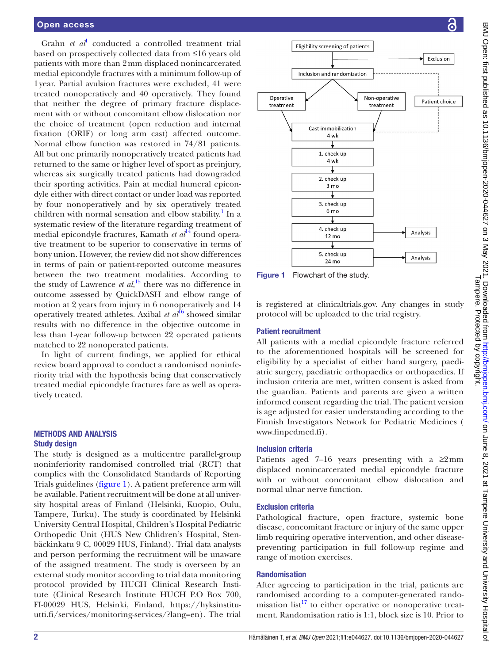#### Open access

Grahn *et al*<sup>[1](#page-4-0)</sup> conducted a controlled treatment trial based on prospectively collected data from ≤16 years old patients with more than 2mm displaced nonincarcerated medial epicondyle fractures with a minimum follow-up of 1year. Partial avulsion fractures were excluded, 41 were treated nonoperatively and 40 operatively. They found that neither the degree of primary fracture displacement with or without concomitant elbow dislocation nor the choice of treatment (open reduction and internal fixation (ORIF) or long arm cast) affected outcome. Normal elbow function was restored in 74/81 patients. All but one primarily nonoperatively treated patients had returned to the same or higher level of sport as preinjury, whereas six surgically treated patients had downgraded their sporting activities. Pain at medial humeral epicondyle either with direct contact or under load was reported by four nonoperatively and by six operatively treated children with normal sensation and elbow stability.<sup>1</sup> In a systematic review of the literature regarding treatment of medial epicondyle fractures, Kamath *et al*<sup>[14](#page-4-5)</sup> found operative treatment to be superior to conservative in terms of bony union. However, the review did not show differences in terms of pain or patient-reported outcome measures between the two treatment modalities. According to the study of Lawrence *et al*,<sup>[15](#page-4-6)</sup> there was no difference in outcome assessed by QuickDASH and elbow range of motion at 2 years from injury in 6 nonoperatively and 14 operatively treated athletes. Axibal *et al*<sup>[16](#page-4-7)</sup> showed similar results with no difference in the objective outcome in less than 1-year follow-up between 22 operated patients matched to 22 nonoperated patients.

In light of current findings, we applied for ethical review board approval to conduct a randomised noninferiority trial with the hypothesis being that conservatively treated medial epicondyle fractures fare as well as operatively treated.

#### METHODS AND ANALYSIS Study design

The study is designed as a multicentre parallel-group noninferiority randomised controlled trial (RCT) that complies with the Consolidated Standards of Reporting Trials guidelines [\(figure](#page-1-0) 1). A patient preference arm will be available. Patient recruitment will be done at all university hospital areas of Finland (Helsinki, Kuopio, Oulu, Tampere, Turku). The study is coordinated by Helsinki University Central Hospital, Children's Hospital Pediatric Orthopedic Unit (HUS New Chlidren's Hospital, Stenbäckinkatu 9 C, 00029 HUS, Finland). Trial data analysts and person performing the recruitment will be unaware of the assigned treatment. The study is overseen by an external study monitor according to trial data monitoring protocol provided by HUCH Clinical Research Institute (Clinical Research Institute HUCH P.O Box 700, FI-00029 HUS, Helsinki, Finland, [https://hyksinstitu](https://hyksinstituutti.fi/services/monitoring-services/?lang=en)[utti.fi/services/monitoring-services/?lang=en\)](https://hyksinstituutti.fi/services/monitoring-services/?lang=en). The trial



<span id="page-1-0"></span>Figure 1 Flowchart of the study.

is registered at clinicaltrials.gov. Any changes in study protocol will be uploaded to the trial registry.

#### Patient recruitment

All patients with a medial epicondyle fracture referred to the aforementioned hospitals will be screened for eligibility by a specialist of either hand surgery, paediatric surgery, paediatric orthopaedics or orthopaedics. If inclusion criteria are met, written consent is asked from the guardian. Patients and parents are given a written informed consent regarding the trial. The patient version is age adjusted for easier understanding according to the Finnish Investigators Network for Pediatric Medicines ( [www.finpedmed.fi\)](www.finpedmed.fi).

#### Inclusion criteria

Patients aged 7–16 years presenting with a  $\geq 2$  mm displaced nonincarcerated medial epicondyle fracture with or without concomitant elbow dislocation and normal ulnar nerve function.

#### Exclusion criteria

Pathological fracture, open fracture, systemic bone disease, concomitant fracture or injury of the same upper limb requiring operative intervention, and other diseasepreventing participation in full follow-up regime and range of motion exercises.

#### Randomisation

After agreeing to participation in the trial, patients are randomised according to a computer-generated randomisation  $list^{17}$  to either operative or nonoperative treatment. Randomisation ratio is 1:1, block size is 10. Prior to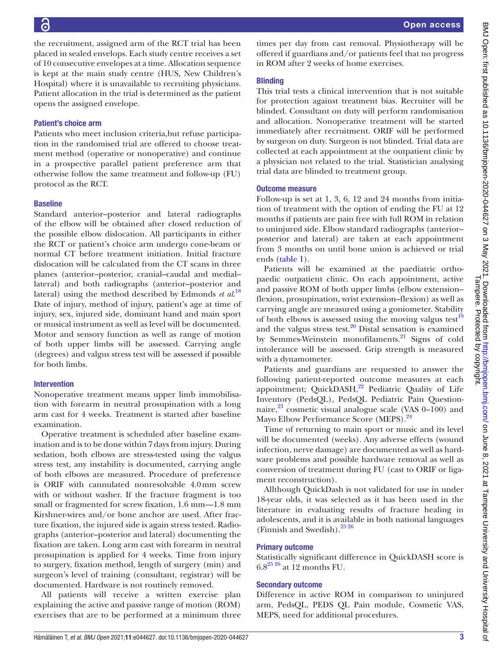Õ

the recruitment, assigned arm of the RCT trial has been placed in sealed envelops. Each study centre receives a set of 10 consecutive envelopes at a time. Allocation sequence is kept at the main study centre (HUS, New Children's Hospital) where it is unavailable to recruiting physicians. Patient allocation in the trial is determined as the patient opens the assigned envelope.

# Patient's choice arm

Patients who meet inclusion criteria,but refuse participation in the randomised trial are offered to choose treatment method (operative or nonoperative) and continue in a prospective parallel patient preference arm that otherwise follow the same treatment and follow-up (FU) protocol as the RCT.

#### **Baseline**

Standard anterior–posterior and lateral radiographs of the elbow will be obtained after closed reduction of the possible elbow dislocation. All participants in either the RCT or patient's choice arm undergo cone-beam or normal CT before treatment initiation. Initial fracture dislocation will be calculated from the CT scans in three planes (anterior–posterior, cranial–caudal and medial– lateral) and both radiographs (anterior–posterior and lateral) using the method described by Edmonds *et al*. [18](#page-4-9) Date of injury, method of injury, patient's age at time of injury, sex, injured side, dominant hand and main sport or musical instrument as well as level will be documented. Motor and sensory function as well as range of motion of both upper limbs will be assessed. Carrying angle (degrees) and valgus stress test will be assessed if possible for both limbs.

#### Intervention

Nonoperative treatment means upper limb immobilisation with forearm in neutral prosupination with a long arm cast for 4 weeks. Treatment is started after baseline examination.

Operative treatment is scheduled after baseline examination and is to be done within 7days from injury. During sedation, both elbows are stress-tested using the valgus stress test, any instability is documented, carrying angle of both elbows are measured. Procedure of preference is ORIF with cannulated nonresolvable 4.0mm screw with or without washer. If the fracture fragment is too small or fragmented for screw fixation, 1.6 mm—1.8 mm Kirshner-wires and/or bone anchor are used. After fracture fixation, the injured side is again stress tested. Radiographs (anterior–posterior and lateral) documenting the fixation are taken. Long arm cast with forearm in neutral prosupination is applied for 4 weeks. Time from injury to surgery, fixation method, length of surgery (min) and surgeon's level of training (consultant, registrar) will be documented. Hardware is not routinely removed.

All patients will receive a written exercise plan explaining the active and passive range of motion (ROM) exercises that are to be performed at a minimum three

times per day from cast removal. Physiotherapy will be offered if guardians and/or patients feel that no progress in ROM after 2 weeks of home exercises.

## **Blinding**

This trial tests a clinical intervention that is not suitable for protection against treatment bias. Recruiter will be blinded. Consultant on duty will perform randomisation and allocation. Nonoperative treatment will be started immediately after recruitment. ORIF will be performed by surgeon on duty. Surgeon is not blinded. Trial data are collected at each appointment at the outpatient clinic by a physician not related to the trial. Statistician analysing trial data are blinded to treatment group.

#### Outcome measure

Follow-up is set at 1, 3, 6, 12 and 24 months from initiation of treatment with the option of ending the FU at 12 months if patients are pain free with full ROM in relation to uninjured side. Elbow standard radiographs (anterior– posterior and lateral) are taken at each appointment from 3 months on until bone union is achieved or trial ends [\(table](#page-3-0) 1).

Patients will be examined at the paediatric orthopaedic outpatient clinic. On each appointment, active and passive ROM of both upper limbs (elbow extension– flexion, prosupination, wrist extension–flexion) as well as carrying angle are measured using a goniometer. Stability of both elbows is assessed using the moving valgus test $19$ and the valgus stress test.<sup>20</sup> Distal sensation is examined by Semmes-Weinstein monofilaments.<sup>21</sup> Signs of cold intolerance will be assessed. Grip strength is measured with a dynamometer.

Patients and guardians are requested to answer the following patient-reported outcome measures at each appointment; QuickDASH, $^{22}$  $^{22}$  $^{22}$  Pediatric Quality of Life Inventory (PedsQL), PedsQL Pediatric Pain Questionnaire, $^{23}$  cosmetic visual analogue scale (VAS 0–100) and Mayo Elbow Performance Score (MEPS).<sup>24</sup>

Time of returning to main sport or music and its level will be documented (weeks). Any adverse effects (wound infection, nerve damage) are documented as well as hardware problems and possible hardware removal as well as conversion of treatment during FU (cast to ORIF or ligament reconstruction).

Allthough QuickDash is not validated for use in under 18-year olds, it was selected as it has been used in the literature in evaluating results of fracture healing in adolescents, and it is available in both national languages (Finnish and Swedish)[.25 26](#page-4-16)

#### Primary outcome

Statistically significant difference in QuickDASH score is  $6.8^{25\,26}$  at 12 months FU.

#### Secondary outcome

Difference in active ROM in comparison to uninjured arm, PedsQL, PEDS QL Pain module, Cosmetic VAS, MEPS, need for additional procedures.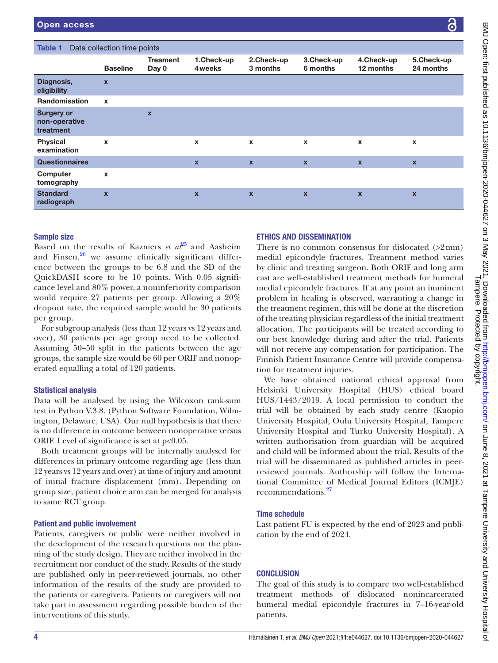<span id="page-3-0"></span>

| <b>Treament</b><br>1.Check-up<br>2.Check-up<br>3.Check-up<br>4.Check-up<br>5.Check-up<br>6 months<br>12 months<br>24 months<br><b>Baseline</b><br>Day 0<br>4 weeks<br>3 months<br>Diagnosis,<br>$\boldsymbol{\mathsf{x}}$<br>eligibility<br><b>Randomisation</b><br>$\mathbf x$<br><b>Surgery or</b><br>$\boldsymbol{x}$<br>non-operative<br>treatment<br><b>Physical</b><br>$\mathbf{x}$<br>$\mathbf x$<br>$\pmb{\mathsf{x}}$<br>$\boldsymbol{\mathsf{x}}$<br>$\pmb{\chi}$<br>$\pmb{\chi}$<br>examination<br><b>Questionnaires</b><br>$\mathbf x$<br>$\boldsymbol{\mathsf{x}}$<br>$\boldsymbol{x}$<br>$\mathbf{x}$<br>$\mathbf{x}$<br>Computer<br>$\mathbf{x}$<br>tomography<br><b>Standard</b><br>$\mathbf x$<br>$\overline{\mathbf{x}}$<br>$\mathbf{x}$<br>$\boldsymbol{\mathsf{x}}$<br>$\mathbf x$<br>$\boldsymbol{\mathsf{x}}$<br>radiograph | Data collection time points<br>Table 1 |  |  |  |  |  |  |  |  |
|---------------------------------------------------------------------------------------------------------------------------------------------------------------------------------------------------------------------------------------------------------------------------------------------------------------------------------------------------------------------------------------------------------------------------------------------------------------------------------------------------------------------------------------------------------------------------------------------------------------------------------------------------------------------------------------------------------------------------------------------------------------------------------------------------------------------------------------------------|----------------------------------------|--|--|--|--|--|--|--|--|
|                                                                                                                                                                                                                                                                                                                                                                                                                                                                                                                                                                                                                                                                                                                                                                                                                                                   |                                        |  |  |  |  |  |  |  |  |
|                                                                                                                                                                                                                                                                                                                                                                                                                                                                                                                                                                                                                                                                                                                                                                                                                                                   |                                        |  |  |  |  |  |  |  |  |
|                                                                                                                                                                                                                                                                                                                                                                                                                                                                                                                                                                                                                                                                                                                                                                                                                                                   |                                        |  |  |  |  |  |  |  |  |
|                                                                                                                                                                                                                                                                                                                                                                                                                                                                                                                                                                                                                                                                                                                                                                                                                                                   |                                        |  |  |  |  |  |  |  |  |
|                                                                                                                                                                                                                                                                                                                                                                                                                                                                                                                                                                                                                                                                                                                                                                                                                                                   |                                        |  |  |  |  |  |  |  |  |
|                                                                                                                                                                                                                                                                                                                                                                                                                                                                                                                                                                                                                                                                                                                                                                                                                                                   |                                        |  |  |  |  |  |  |  |  |
|                                                                                                                                                                                                                                                                                                                                                                                                                                                                                                                                                                                                                                                                                                                                                                                                                                                   |                                        |  |  |  |  |  |  |  |  |
|                                                                                                                                                                                                                                                                                                                                                                                                                                                                                                                                                                                                                                                                                                                                                                                                                                                   |                                        |  |  |  |  |  |  |  |  |

#### Sample size

Based on the results of Kazmers *et*  $a^{25}$  and Aasheim and Finsen, $26$  we assume clinically significant difference between the groups to be 6.8 and the SD of the QuickDASH score to be 10 points. With 0.05 significance level and 80% power, a noninferiority comparison would require 27 patients per group. Allowing a 20% dropout rate, the required sample would be 30 patients per group.

For subgroup analysis (less than 12 years vs 12 years and over), 30 patients per age group need to be collected. Assuming 50–50 split in the patients between the age groups, the sample size would be 60 per ORIF and nonoperated equalling a total of 120 patients.

#### Statistical analysis

Data will be analysed by using the Wilcoxon rank-sum test in Python V.3.8. (Python Software Foundation, Wilmington, Delaware, USA). Our null hypothesis is that there is no difference in outcome between nonoperative versus ORIF. Level of significance is set at p<0.05.

Both treatment groups will be internally analysed for differences in primary outcome regarding age (less than 12 years vs 12 years and over) at time of injury and amount of initial fracture displacement (mm). Depending on group size, patient choice arm can be merged for analysis to same RCT group.

#### Patient and public involvement

Patients, caregivers or public were neither involved in the development of the research questions nor the planning of the study design. They are neither involved in the recruitment nor conduct of the study. Results of the study are published only in peer-reviewed journals, no other information of the results of the study are provided to the patients or caregivers. Patients or caregivers will not take part in assessment regarding possible burden of the interventions of this study.

#### ETHICS AND DISSEMINATION

There is no common consensus for dislocated  $(22 \text{ mm})$ medial epicondyle fractures. Treatment method varies by clinic and treating surgeon. Both ORIF and long arm cast are well-established treatment methods for humeral medial epicondyle fractures. If at any point an imminent problem in healing is observed, warranting a change in the treatment regimen, this will be done at the discretion of the treating physician regardless of the initial treatment allocation. The participants will be treated according to our best knowledge during and after the trial. Patients will not receive any compensation for participation. The Finnish Patient Insurance Centre will provide compensation for treatment injuries.

We have obtained national ethical approval from Helsinki University Hospital (HUS) ethical board HUS/1443/2019. A local permission to conduct the trial will be obtained by each study centre (Kuopio University Hospital, Oulu University Hospital, Tampere University Hospital and Turku University Hospital). A written authorisation from guardian will be acquired and child will be informed about the trial. Results of the trial will be disseminated as published articles in peerreviewed journals. Authorship will follow the International Committee of Medical Journal Editors (ICMJE) recommendations.<sup>[27](#page-4-18)</sup>

#### Time schedule

Last patient FU is expected by the end of 2023 and publication by the end of 2024.

#### **CONCLUSION**

The goal of this study is to compare two well-established treatment methods of dislocated nonincarcerated humeral medial epicondyle fractures in 7–16-year-old patients.

 $\overline{Q}$